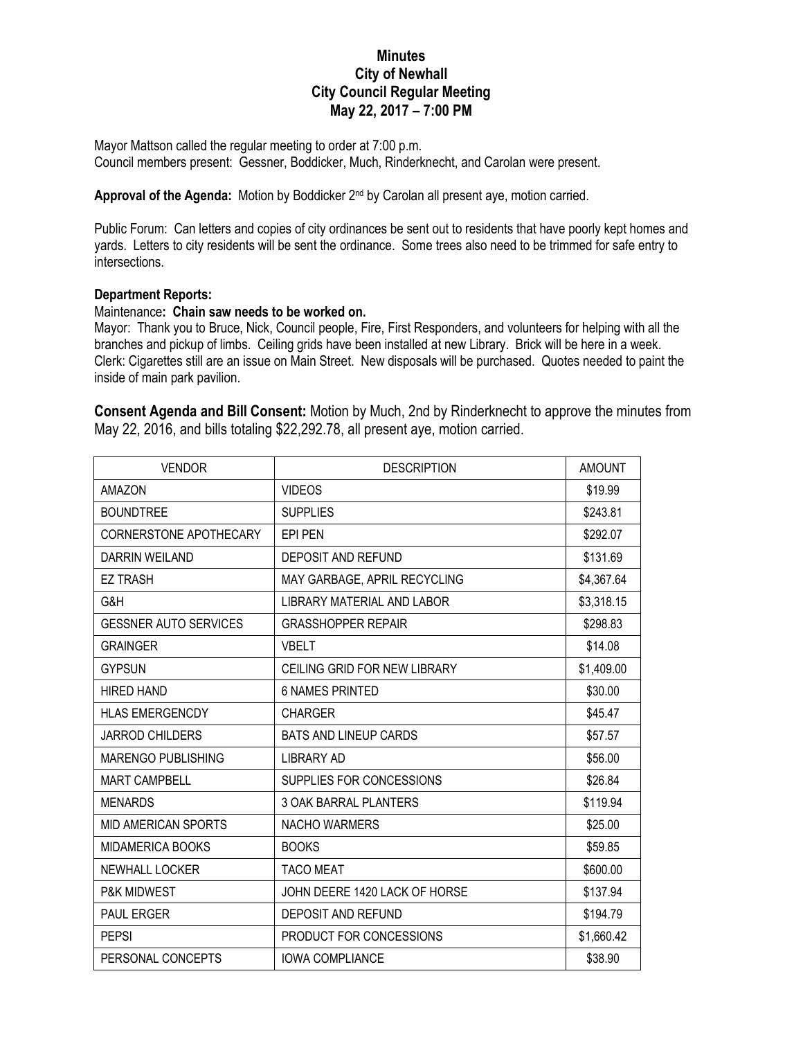## **Minutes City of Newhall City Council Regular Meeting May 22, 2017 – 7:00 PM**

Mayor Mattson called the regular meeting to order at 7:00 p.m. Council members present: Gessner, Boddicker, Much, Rinderknecht, and Carolan were present.

Approval of the Agenda: Motion by Boddicker 2<sup>nd</sup> by Carolan all present aye, motion carried.

Public Forum: Can letters and copies of city ordinances be sent out to residents that have poorly kept homes and yards. Letters to city residents will be sent the ordinance. Some trees also need to be trimmed for safe entry to intersections.

## **Department Reports:**

## Maintenance**: Chain saw needs to be worked on.**

Mayor: Thank you to Bruce, Nick, Council people, Fire, First Responders, and volunteers for helping with all the branches and pickup of limbs. Ceiling grids have been installed at new Library. Brick will be here in a week. Clerk: Cigarettes still are an issue on Main Street. New disposals will be purchased. Quotes needed to paint the inside of main park pavilion.

**Consent Agenda and Bill Consent:** Motion by Much, 2nd by Rinderknecht to approve the minutes from May 22, 2016, and bills totaling \$22,292.78, all present aye, motion carried.

| <b>VENDOR</b>                | <b>DESCRIPTION</b>            | <b>AMOUNT</b> |
|------------------------------|-------------------------------|---------------|
| AMAZON                       | <b>VIDEOS</b>                 | \$19.99       |
| <b>BOUNDTREE</b>             | <b>SUPPLIES</b>               | \$243.81      |
| CORNERSTONE APOTHECARY       | EPI PEN                       | \$292.07      |
| <b>DARRIN WEILAND</b>        | DEPOSIT AND REFUND            | \$131.69      |
| <b>EZ TRASH</b>              | MAY GARBAGE, APRIL RECYCLING  | \$4,367.64    |
| G&H                          | LIBRARY MATERIAL AND LABOR    | \$3,318.15    |
| <b>GESSNER AUTO SERVICES</b> | <b>GRASSHOPPER REPAIR</b>     | \$298.83      |
| <b>GRAINGER</b>              | <b>VBELT</b>                  | \$14.08       |
| <b>GYPSUN</b>                | CEILING GRID FOR NEW LIBRARY  | \$1,409.00    |
| <b>HIRED HAND</b>            | <b>6 NAMES PRINTED</b>        | \$30.00       |
| <b>HLAS EMERGENCDY</b>       | <b>CHARGER</b>                | \$45.47       |
| <b>JARROD CHILDERS</b>       | <b>BATS AND LINEUP CARDS</b>  | \$57.57       |
| MARENGO PUBLISHING           | <b>LIBRARY AD</b>             | \$56.00       |
| <b>MART CAMPBELL</b>         | SUPPLIES FOR CONCESSIONS      | \$26.84       |
| <b>MENARDS</b>               | 3 OAK BARRAL PLANTERS         | \$119.94      |
| <b>MID AMERICAN SPORTS</b>   | <b>NACHO WARMERS</b>          | \$25.00       |
| MIDAMERICA BOOKS             | <b>BOOKS</b>                  | \$59.85       |
| NEWHALL LOCKER               | <b>TACO MEAT</b>              | \$600.00      |
| P&K MIDWEST                  | JOHN DEERE 1420 LACK OF HORSE | \$137.94      |
| <b>PAUL ERGER</b>            | DEPOSIT AND REFUND            | \$194.79      |
| <b>PEPSI</b>                 | PRODUCT FOR CONCESSIONS       | \$1,660.42    |
| PERSONAL CONCEPTS            | <b>IOWA COMPLIANCE</b>        | \$38.90       |